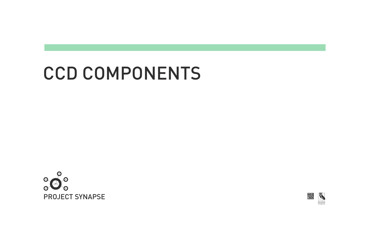# CCD COMPONENTS





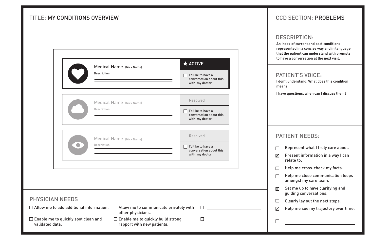- Represent what I truly care about.  $\Box$
- Present information in a way I can  $\boxtimes$ relate to.
- Help me cross-check my facts.  $\Box$
- Help me close communication loops  $\Box$ amongst my care team.
- Set me up to have clarifying and  $\boxtimes$ guiding conversations.
- Clearly lay out the next steps.  $\Box$

 $\Box$ 

#### DESCRIPTION:

 $\boxtimes$ Help me see my trajectory over time.

|                                                                                                                 | Medical Name (Nick Name)<br>Description                                                                                                         | $\star$ ACTIVE<br>I'd like to have a<br>conversation about this<br>with my doctor  |
|-----------------------------------------------------------------------------------------------------------------|-------------------------------------------------------------------------------------------------------------------------------------------------|------------------------------------------------------------------------------------|
|                                                                                                                 | Medical Name (Nick Name)<br>Description                                                                                                         | <b>Resolved</b><br>I'd like to have a<br>conversation about this<br>with my doctor |
|                                                                                                                 | Medical Name (Nick Name)<br>Description                                                                                                         | <b>Resolved</b><br>I'd like to have a<br>conversation about this<br>with my doctor |
| <b>PHYSICIAN NEEDS</b>                                                                                          |                                                                                                                                                 |                                                                                    |
| $\Box$ Allow me to add additional information.<br>$\Box$ Enable me to quickly spot clean and<br>validated data. | $\Box$ Allow me to communicate privately with<br>other physicians.<br>Enable me to quickly build strong<br>$\Box$<br>rapport with new patients. |                                                                                    |

# PATIENT NEEDS:

# **CCD SECTION: PROBLEMS**

## TITLE: MY CONDITIONS OVERVIEW PROBLEMS

**An index of current and past conditions represented in a concise way and in language that the patient can understand with prompts to have a conversation at the next visit.**

**I don't understand. What does this condition mean?**

**I have questions, when can I discuss them?**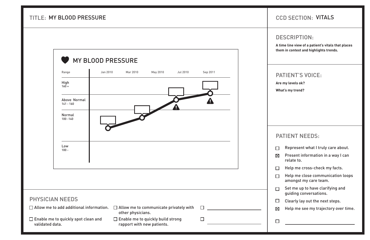## DESCRIPTION:

- Represent what I truly care about.  $\Box$
- Present information in a way I can  $\boxtimes$ relate to.
- Help me cross-check my facts.  $\Box$
- Help me close communication loops  $\Box$ amongst my care team.
- Set me up to have clarifying and  $\Box$ guiding conversations.
- Clearly lay out the next steps.  $\Box$
- $\boxtimes$ Help me see my trajectory over time.

# CCD SECTION: MY BLOOD PRESSURE VITALS

## PATIENT NEEDS:



**A time line view of a patient's vitals that places them in context and highlights trends.** 

**Are my levels ok?** 

**What's my trend?**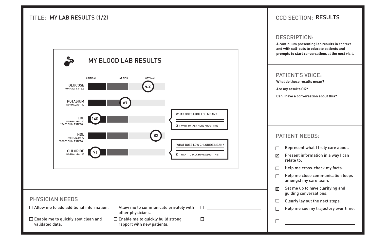## DESCRIPTION:

- Present information in a way I can  $\boxtimes$ relate to.
- Help me cross-check my facts.  $\Box$
- Help me close communication loops  $\Box$ amongst my care team.
- Set me up to have clarifying and  $\boxtimes$ guiding conversations.
- Clearly lay out the next steps.  $\Box$
- Help me see my trajectory over time.  $\Box$

| $\Box$ Represent what I truly care about. |  |  |  |
|-------------------------------------------|--|--|--|
|-------------------------------------------|--|--|--|

## PATIENT NEEDS:

# CCD SECTION: MY LAB RESULTS (1/2) RESULTS

**A continuum presenting lab results in context and with call-outs to educate patients and prompts to start conversations at the next visit.**

**What do these results mean?**

**Are my results OK?**

**Can I have a conversation about this?**

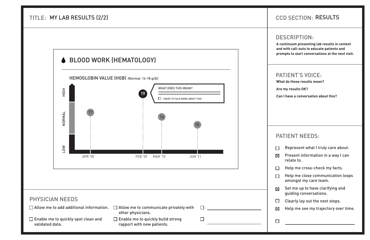## DESCRIPTION:

| $\Box$ Represent what I truly care about. |  |  |  |
|-------------------------------------------|--|--|--|
|-------------------------------------------|--|--|--|

- Present information in a way I can  $\boxtimes$ relate to.
- Help me cross-check my facts.  $\Box$
- Help me close communication loops  $\Box$ amongst my care team.
- Set me up to have clarifying and  $\boxtimes$ guiding conversations.
- Clearly lay out the next steps.  $\Box$
- $\boxtimes$ Help me see my trajectory over time.

# CCD SECTION: MY LAB RESULTS (2/2) RESULTS

## PATIENT NEEDS:



**A continuum presenting lab results in context and with call-outs to educate patients and prompts to start conversations at the next visit.**

**What do these results mean?**

**Are my results OK?**

**Can I have a conversation about this?**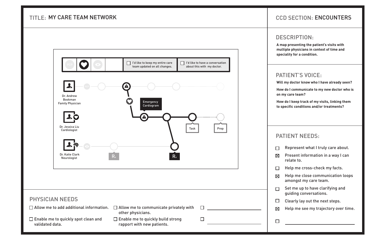#### DESCRIPTION:

| Represent what I truly care about. |  |  |  |
|------------------------------------|--|--|--|
|------------------------------------|--|--|--|

- Present information in a way I can  $\boxtimes$ relate to.
- Help me cross-check my facts.  $\Box$
- Help me close communication loops  $\boxtimes$ amongst my care team.
- Set me up to have clarifying and  $\Box$ guiding conversations.
- Clearly lay out the next steps.  $\Box$
- $\boxtimes$ Help me see my trajectory over time.

## PATIENT NEEDS:

## **TITLE: MY CARE TEAM NETWORK**



# MY CARE TEAM NETWORK FOR ENCOUNTERS IN A SECTION. ENCOUNTERS

**A map presenting the patient's visits with multiple physicians in context of time and speciality for a condition.**

**Will my doctor know who I have already seen?**

**How do I communicate to my new doctor who is on my care team?**

**How do I keep track of my visits, linking them to specific conditions and/or treatments?**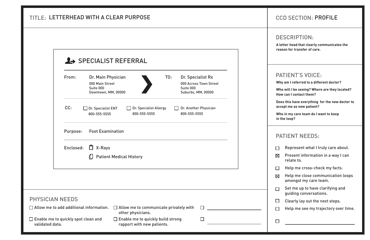- Represent what I truly care about.  $\Box$
- $\boxtimes$ Present information in a way I can relate to.
- Help me cross-check my facts.  $\Box$
- Help me close communication loops  $\boxtimes$ amongst my care team.
- Set me up to have clarifying and  $\Box$ guiding conversations.
- Clearly lay out the next steps.  $\Box$

 $\Box$ 

#### DESCRIPTION:

Help me see my trajectory over time.  $\Box$ 

## PATIENT NEEDS:

| From:                                          | Dr. Main Physician<br>000 Main Street<br>Suite 000<br>Downtown, MM, 00000 |                                                                    |                                        | TO: | Dr. Specialist Rx<br>Suite 000<br>Suburbs, MM, 00000 | 000 Across Town Street                                           |
|------------------------------------------------|---------------------------------------------------------------------------|--------------------------------------------------------------------|----------------------------------------|-----|------------------------------------------------------|------------------------------------------------------------------|
| CC:                                            | Dr. Specialist ENT<br>800-555-5555                                        |                                                                    | Dr. Specialist Allergy<br>800-555-5555 |     | 800-555-5555                                         | Dr. Another Physician                                            |
| Purpose:                                       | <b>Foot Examination</b>                                                   |                                                                    |                                        |     |                                                      |                                                                  |
|                                                | Enclosed: $\Box$ X-Rays<br>ப                                              | <b>Patient Medical History</b>                                     |                                        |     |                                                      |                                                                  |
|                                                |                                                                           |                                                                    |                                        |     |                                                      |                                                                  |
| <b>PHYSICIAN NEEDS</b>                         |                                                                           |                                                                    |                                        |     |                                                      |                                                                  |
| $\Box$ Allow me to add additional information. |                                                                           | $\Box$ Allow me to communicate privately with<br>other physicians. |                                        |     |                                                      | $\mathsf{L}$<br><u> 1989 - Jan Stein, amerikansk politiker (</u> |
| $\Box$ Enable me to quickly spot clean and     |                                                                           | $\Box$ Enable me to quickly build strong                           |                                        |     |                                                      | $\Box$                                                           |

# **CCD SECTION: PROFILE**

**A letter head that clearly communicates the reason for transfer of care.**

**Why am I referred to a different doctor?**

**Who will I be seeing? Where are they located? How can I contact them?**

**Does this have everything for the new doctor to accept me as new patient?**

**Who in my care team do I want to keep in the loop?**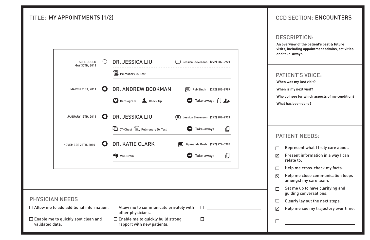- Represent what I truly care about.  $\Box$
- Present information in a way I can  $\boxtimes$ relate to.
- Help me cross-check my facts.  $\Box$
- Help me close communication loops  $\boxtimes$ amongst my care team.
- Set me up to have clarifying and  $\Box$ guiding conversations.
- Clearly lay out the next steps.  $\Box$
- $\boxtimes$ Help me see my trajectory over time.
- $\Box$

#### DESCRIPTION:

# PATIENT NEEDS:

# TITLE: MY APPOINTMENTS (1/2)

| <b>SCHEDULED</b><br>MAY 30TH, 2011             | DR. JESSICA LIU<br>温 Pulmonary Dx Test                             |          | [= Jessica Stevenson (272) 282-2921        |  |
|------------------------------------------------|--------------------------------------------------------------------|----------|--------------------------------------------|--|
| <b>MARCH 21ST, 2011</b>                        | DR. ANDREW BOOKMAN                                                 |          | Rob Singh (272) 282-2987                   |  |
|                                                | Cardiogram & Check Up                                              |          | $\bigcirc$ Take-aways $\bigcap$ $\bigcirc$ |  |
| <b>JANUARY 15TH, 2011</b>                      | DR. JESSICA LIU                                                    | $\Xi$    | Jessica Stevenson (272) 282-2921           |  |
|                                                | CT-Chest <b>I</b> Pulmonary Dx Test                                |          | Take-aways                                 |  |
| NOVEMBER 26TH, 2010                            | <b>DR. KATIE CLARK</b>                                             | $\equiv$ | Jipananda Rosh (272) 272-0983              |  |
|                                                | <b>EXP</b> MRI-Brain                                               |          | Take-aways                                 |  |
|                                                |                                                                    |          |                                            |  |
|                                                |                                                                    |          |                                            |  |
| <b>PHYSICIAN NEEDS</b>                         |                                                                    |          |                                            |  |
| $\Box$ Allow me to add additional information. | $\Box$ Allow me to communicate privately with<br>other physicians. |          |                                            |  |

# MY APPOINTMENTS (1/2) THE RESERVE ENDING RESERVE TO A RESERVE THE RESERVE TO A RESERVE THE RESERVE TO A RESERVE TO A RESERVE THE RESERVE TO A RESERVE THAT A RESERVE TO A RESERVE THAT A RESERVE THAT A RESERVE TO A RESERVE T

**An overview of the patient's past & future visits, including appointment admins, activities and take-aways.**

**When was my last visit?**

**When is my next visit?**

**Who do I see for which aspects of my condition?**

**What has been done?**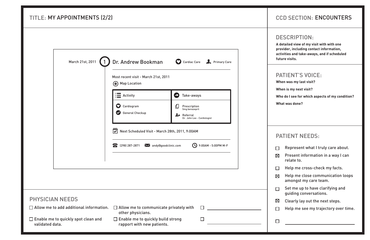# TITLE: MY APPOINTMENTS (2/2)

|                                                | Most recent visit - March 21st, 2011<br>(*) Map Location                                   |                                                                                              |
|------------------------------------------------|--------------------------------------------------------------------------------------------|----------------------------------------------------------------------------------------------|
|                                                | $\mathbf{I}$ Activity                                                                      | Take-aways<br>$\blacktriangleright$                                                          |
|                                                | Cardiogram<br>$\mathbf\Omega$<br><b>General Checkup</b><br>$\bullet$                       | Prescription<br>∐<br>5mg benazepril<br>$\rightarrow$ Referral<br>Dr. John Lee - Cardiologist |
|                                                | $\mathbb{C}$<br>Next Scheduled Visit - March 28th, 2011, 9:00AM<br><b>8</b> (298) 287-2871 | Mandy@goodclinic.com<br>9:00AM - 5:00PM M-F                                                  |
|                                                |                                                                                            |                                                                                              |
| <b>PHYSICIAN NEEDS</b>                         |                                                                                            |                                                                                              |
| $\Box$ Allow me to add additional information. | $\Box$ Allow me to communicate privately with<br>other physicians.                         | $\Box$                                                                                       |
| $\Box$ Enable me to quickly spot clean and     | $\Box$ Enable me to quickly build strong                                                   | $\Box$                                                                                       |

# MY APPOINTMENTS (2/2) THE RESERVE ENCOUNTERS IN A RESERVE ENCOUNTERS THE RESERVE ENCOUNTERS

#### PATIENT'S VOICE:

- Represent what I truly care about.  $\Box$
- Present information in a way I can  $\boxtimes$ relate to.
- Help me cross-check my facts.  $\Box$
- Help me close communication loops  $\nabla$ amongst my care team.
- Set me up to have clarifying and  $\Box$ guiding conversations.
- Clearly lay out the next steps.  $\boxtimes$
- Help me see my trajectory over time.  $\Box$
- $\Box$

#### DESCRIPTION:

# PATIENT NEEDS:

**A detailed view of my visit with with one provider, including contact information, activities and take-aways, and if scheduled future visits.**

**When was my last visit?**

**When is my next visit?**

**Who do I see for which aspects of my condition?**

**What was done?**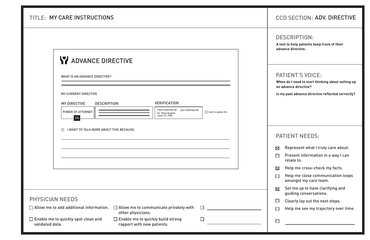- Represent what I truly care about.  $\boxtimes$
- Present information in a way I can  $\Box$ relate to.
- Help me cross-check my facts.  $\boxtimes$
- Help me close communication loops  $\Box$ amongst my care team.
- Set me up to have clarifying and  $\boxtimes$ guiding conversations.
- Clearly lay out the next steps.  $\Box$

 $\Box$ 

#### DESCRIPTION:

Help me see my trajectory over time.  $\Box$ 

# PATIENT NEEDS:

## TITLE: MY CARE INSTRUCTIONS

| <b>WHAT IS AN ADVANCE DIRECTIVE?</b>           |                    |                                                                          |   |                              |  |
|------------------------------------------------|--------------------|--------------------------------------------------------------------------|---|------------------------------|--|
| <b>MY CURRENT DIRECTIVE</b>                    |                    |                                                                          |   |                              |  |
| <b>MY DIRECTIVE</b>                            | <b>DESCRIPTION</b> | <b>VERIFICATION</b>                                                      |   |                              |  |
| <b>POWER OF ATTORNEY</b><br>CA                 |                    | FIRST VERIFIED BY LAST VERIFIED BY<br>Dr. Silvia Dualeh<br>June 15, 1998 |   | $\Box$ I wish to update this |  |
|                                                |                    |                                                                          |   |                              |  |
|                                                |                    |                                                                          |   |                              |  |
|                                                |                    |                                                                          |   |                              |  |
|                                                |                    |                                                                          |   |                              |  |
| <b>PHYSICIAN NEEDS</b>                         |                    |                                                                          |   |                              |  |
| $\Box$ Allow me to add additional information. | other physicians.  | $\Box$ Allow me to communicate privately with                            | П |                              |  |

# MY CARE INSTRUCTIONS ADV. INTERNATIONAL LOCAL CONTROLLER IN THE CONTROLLER IN A SECTION ADV. DIRECTIVE

**A tool to help patients keep track of their advance directive.**

**When do I need to start thinking about setting up an advance directive?**

**Is my past advance directive reflected correctly?**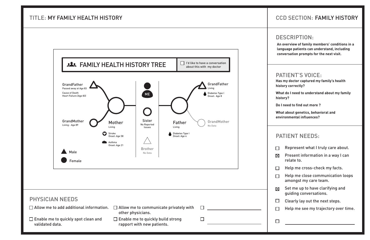#### DESCRIPTION:

- Present information in a way I can  $\boxtimes$ relate to.
- Help me cross-check my facts.  $\Box$
- Help me close communication loops  $\Box$ amongst my care team.
- Set me up to have clarifying and  $\boxtimes$ guiding conversations.
- Clearly lay out the next steps.  $\Box$

 $\Box$ 

| Represent what I truly care about. |  |  |  |
|------------------------------------|--|--|--|
|------------------------------------|--|--|--|

Help me see my trajectory over time.  $\Box$ 

## PATIENT NEEDS:

# CCD SECTION: MY FAMILY HEALTH HISTORY FAMILY HISTORY

## TITLE: MY FAMILY HEALTH HISTORY



**An overview of family members' conditions in a language patients can understand, including conversation prompts for the next visit.**

**Has my doctor captured my family's health history correctly?**

**What do I need to understand about my family history?**

**Do I need to find out more ?**

**What about genetics, behavioral and environmental influences?**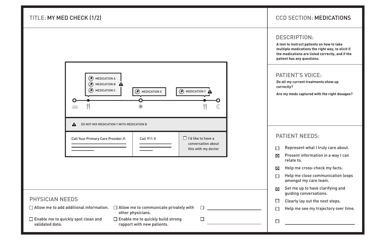- Represent what I truly care about.  $\Box$
- Present information in a way I can  $\boxtimes$ relate to.
- Help me cross-check my facts.  $\boxtimes$
- Help me close communication loops  $\Box$ amongst my care team.
- Set me up to have clarifying and  $\boxtimes$ guiding conversations.
- Clearly lay out the next steps.  $\Box$

 $\Box$ 

#### DESCRIPTION:

Help me see my trajectory over time.  $\Box$ 

# CCD SECTION: MY MED CHECK (1/2) MEDICATIONS

## PATIENT NEEDS:

| <b>PHYSICIAN NEEDS</b>                                           |                                                                                                                   |  |
|------------------------------------------------------------------|-------------------------------------------------------------------------------------------------------------------|--|
|                                                                  | $\Box$ Allow me to add additional information. $\Box$ Allow me to communicate privately with<br>other physicians. |  |
| $\square$ Enable me to quickly spot clean and<br>validated data. | $\Box$ Enable me to quickly build strong<br>rapport with new patients.                                            |  |

## TITLE: MY MED CHECK (1/2)



**A tool to instruct patients on how to take multiple medications the right way, to elicit if the medications are listed correctly, and if the patient has any questions.**

**Do all my current treatments show up correctly?**

**Are my meds captured with the right dosages?**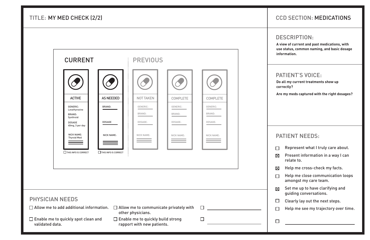- Represent what I truly care about.  $\Box$
- Present information in a way I can  $\boxtimes$ relate to.
- Help me cross-check my facts.  $\boxtimes$
- Help me close communication loops  $\Box$ amongst my care team.
- Set me up to have clarifying and  $\boxtimes$ guiding conversations.
- Clearly lay out the next steps.  $\Box$

 $\Box$ 

#### DESCRIPTION:

Help me see my trajectory over time.  $\Box$ 

# PATIENT NEEDS:

|                        | <b>CURRENT</b>                                                 |                             | <b>PREVIOUS</b>                                                        |                    |                    |  |
|------------------------|----------------------------------------------------------------|-----------------------------|------------------------------------------------------------------------|--------------------|--------------------|--|
|                        |                                                                |                             |                                                                        |                    |                    |  |
|                        | <b>ACTIVE</b>                                                  | <b>AS NEEDED</b>            | <b>NOT TAKEN</b>                                                       | <b>COMPLETE</b>    | <b>COMPLETE</b>    |  |
|                        | <b>GENERIC:</b><br>Levathyroxine<br><b>BRAND:</b><br>Synthroid | BRAND:                      | GENERIC:<br>BRAND:                                                     | GENERIC:<br>BRAND: | GENERIC:<br>BRAND: |  |
|                        | <b>DOSAGE</b><br>40mg, 3 per day                               | <b>DOSAGE</b>               | DOSAGE:                                                                | DOSAGE:            | DOSAGE:            |  |
|                        | <b>NICK NAME:</b><br><b>Thyroid Med</b>                        | <b>NICK NAME:</b>           | NICK NAME:                                                             | NICK NAME:         | NICK NAME:         |  |
|                        | $\Box$ THIS INFO IS CORRECT                                    | $\Box$ THIS INFO IS CORRECT |                                                                        |                    |                    |  |
|                        |                                                                |                             |                                                                        |                    |                    |  |
|                        |                                                                |                             |                                                                        |                    |                    |  |
| <b>PHYSICIAN NEEDS</b> |                                                                |                             |                                                                        |                    |                    |  |
|                        | $\Box$ Allow me to add additional information.                 |                             | $\Box$ Allow me to communicate privately with<br>other physicians.     |                    |                    |  |
| validated data.        | □ Enable me to quickly spot clean and                          |                             | $\Box$ Enable me to quickly build strong<br>rapport with new patients. |                    |                    |  |

# CCD SECTION: MY MED CHECK (2/2) MEDICATIONS

**A view of current and past medications, with use status, common naming, and basic dosage information.**

**Do all my current treatments show up correctly?**

**Are my meds captured with the right dosages?**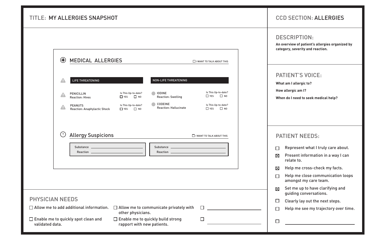## DESCRIPTION:

- Present information in a way I can  $\boxtimes$ relate to.
- Help me cross-check my facts.  $\boxtimes$
- Help me close communication loops  $\Box$ amongst my care team.
- Set me up to have clarifying and  $\boxtimes$ guiding conversations.
- Clearly lay out the next steps.  $\Box$

 $\Box$ 

| $\Box$ Represent what I truly care about. |  |  |  |
|-------------------------------------------|--|--|--|
|-------------------------------------------|--|--|--|

Help me see my trajectory over time.  $\Box$ 

# PATIENT NEEDS:

#### TITLE: MY ALLERGIES SNAPSHOT ALLERGIES

|                        | MEDICAL ALLERGIES<br>$\left( \blacklozenge \right)$   |                                             |                                                | $\Box$ I WANT TO TALK ABOUT THIS            |  |
|------------------------|-------------------------------------------------------|---------------------------------------------|------------------------------------------------|---------------------------------------------|--|
| $\sqrt{1}$             | LIFE THREATENING                                      |                                             | <b>NON-LIFE THREATENING</b>                    |                                             |  |
| A.                     | <b>PENICILLIN</b><br><b>Reaction: Hives</b>           | Is This Up-to-date?<br>$\Box$ YES $\Box$ NO | <b>IODINE</b><br><b>Reaction: Swelling</b>     | Is This Up-to-date?<br>$\Box$ YES $\Box$ NO |  |
| $\blacktriangle$       | <b>PEANUTS</b><br><b>Reaction: Anaphylactic Shock</b> | Is This Up-to-date?<br>$\Box$ YES $\Box$ NO | <b>CODEINE</b><br><b>Reaction: Hallucinate</b> | Is This Up-to-date?<br>$\Box$ YES $\Box$ NO |  |
|                        |                                                       |                                             |                                                |                                             |  |
| (?)                    | <b>Allergy Suspicions</b>                             |                                             |                                                | $\Box$ I WANT TO TALK ABOUT THIS            |  |
|                        |                                                       |                                             |                                                |                                             |  |
|                        |                                                       |                                             |                                                |                                             |  |
|                        |                                                       |                                             |                                                |                                             |  |
|                        |                                                       |                                             |                                                |                                             |  |
| <b>PHYSICIAN NEEDS</b> |                                                       |                                             |                                                |                                             |  |
|                        | $\Box$ Allow me to add additional information.        | other physicians.                           | $\Box$ Allow me to communicate privately with  | $\mathbf{I}$                                |  |
| validated data.        | $\Box$ Enable me to quickly spot clean and            | rapport with new patients.                  | $\Box$ Enable me to quickly build strong       | $\Box$                                      |  |

# **CCD SECTION: ALLERGIES**

**An overview of patient's allergies organized by category, severity and reaction.**

**What am I allergic to?**

**How allergic am I?**

**When do I need to seek medical help?**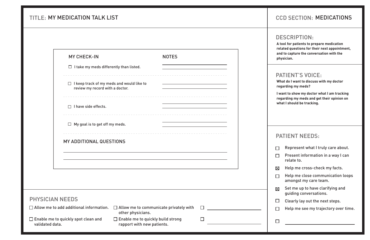- Represent what I truly care about.  $\Box$
- Present information in a way I can  $\Box$ relate to.
- Help me cross-check my facts.  $\boxtimes$
- Help me close communication loops  $\Box$ amongst my care team.
- Set me up to have clarifying and  $\boxtimes$ guiding conversations.
- Clearly lay out the next steps.  $\Box$

 $\Box$ 

#### DESCRIPTION:

Help me see my trajectory over time.  $\Box$ 

## PATIENT NEEDS:

## TITLE: MY MEDICATION TALK LIST

|                                                               | <b>MY CHECK-IN</b>                                                                  | <b>NOTES</b>                                                                |        |
|---------------------------------------------------------------|-------------------------------------------------------------------------------------|-----------------------------------------------------------------------------|--------|
|                                                               | $\Box$ I take my meds differently than listed.                                      |                                                                             |        |
|                                                               | $\Box$ I keep track of my meds and would like to<br>review my record with a doctor. | ----------------------------------<br>------------------------------------- |        |
|                                                               | $\Box$ I have side effects.<br>----------------------                               |                                                                             |        |
|                                                               | $\Box$ My goal is to get off my meds.                                               |                                                                             |        |
|                                                               | MY ADDITIONAL QUESTIONS                                                             |                                                                             |        |
|                                                               |                                                                                     |                                                                             |        |
|                                                               |                                                                                     |                                                                             |        |
|                                                               |                                                                                     |                                                                             |        |
|                                                               |                                                                                     |                                                                             |        |
| <b>PHYSICIAN NEEDS</b>                                        |                                                                                     |                                                                             |        |
| $\Box$ Allow me to add additional information.                | other physicians.                                                                   | $\Box$ Allow me to communicate privately with                               |        |
| $\Box$ Enable me to quickly spot clean and<br>validated data. |                                                                                     | $\Box$ Enable me to quickly build strong<br>rapport with new patients.      | $\Box$ |

# MY MEDICATION TALK LIST NO RELATIONS AND RELATIONS RELATIONS RELATIONS RELATIONS

**A tool for patients to prepare medication related questions for their next appointment, and to capture the conversation with the physician.**

**What do I want to discuss with my doctor regarding my meds?**

**I want to show my doctor what I am tracking regarding my meds and get their opinion on what I should be tracking.**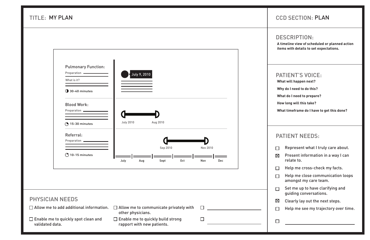#### DESCRIPTION:

- Present information in a way I can  $\boxtimes$ relate to.
- Help me cross-check my facts.  $\Box$
- Help me close communication loops  $\Box$ amongst my care team.
- Set me up to have clarifying and  $\Box$ guiding conversations.
- Clearly lay out the next steps.  $\boxtimes$
- Help me see my trajectory over time.  $\Box$
- $\Box$

|  | $\Box$ Represent what I truly care about. |  |  |  |
|--|-------------------------------------------|--|--|--|
|--|-------------------------------------------|--|--|--|

TITLE: MY PLAN

| <b>Pulmonary Function:</b><br>Preparation -<br>What is it? | July 9, 2010                                                           |                        |
|------------------------------------------------------------|------------------------------------------------------------------------|------------------------|
| <b>1</b> 30-40 minutes                                     |                                                                        |                        |
| <b>Blood Work:</b><br>Preparation -                        |                                                                        |                        |
| <b>15-30 minutes</b>                                       | <b>July 2010</b><br>Aug 2010                                           |                        |
| Referral:<br>Preparation .                                 |                                                                        |                        |
| $\bigcirc$ 10-15 minutes                                   | Sep 2010<br>July<br>Sept<br>0ct<br>Aug                                 | Nov 2010<br>Nov<br>Dec |
|                                                            |                                                                        |                        |
| <b>PHYSICIAN NEEDS</b>                                     |                                                                        |                        |
| $\Box$ Allow me to add additional information.             | $\Box$ Allow me to communicate privately with<br>other physicians.     |                        |
| □ Enable me to quickly spot clean and<br>validated data.   | $\Box$ Enable me to quickly build strong<br>rapport with new patients. | H                      |

# CCD SECTION: MY PLAN PLAN

# PATIENT NEEDS:

**A timeline view of scheduled or planned action items with details to set expectations.**

**What will happen next?**

**Why do I need to do this?**

**What do I need to prepare?**

**How long will this take?**

**What timeframe do I have to get this done?**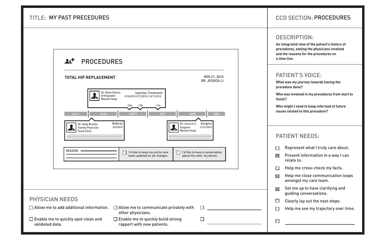#### DESCRIPTION:

- Present information in a way I can  $\boxtimes$ relate to.
- Help me cross-check my facts.  $\Box$
- Help me close communication loops  $\boxtimes$ amongst my care team.
- Set me up to have clarifying and  $\boxtimes$ guiding conversations.
- Clearly lay out the next steps.  $\Box$
- Help me see my trajectory over time.  $\Box$

| Represent what I truly care about. |  |  |  |
|------------------------------------|--|--|--|
|------------------------------------|--|--|--|

## PATIENT NEEDS:

## TITLE: MY PAST PRECEDURES



# MY PAST PRECEDURES PROCEDURES And the contract of the contract of the contract of the contract of the contract of the contract of the contract of the contract of the contract of the contract of the contract of the contract

**An integrated view of the patient's history of procedures, stating the physicians involved and the reasons for the procedures on a time line.**

**What was my journey towards having the procedure done?**

**Who was involved in my procedures from start to finish?**

**Who might I need to keep informed of future issues related to this procedure?**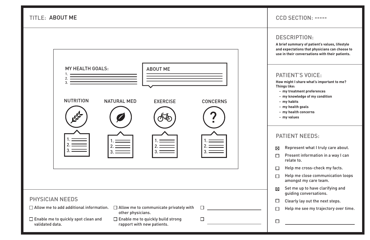- Represent what I truly care about.  $\boxtimes$
- Present information in a way I can  $\Box$ relate to.
- Help me cross-check my facts.  $\Box$
- Help me close communication loops  $\Box$ amongst my care team.
- Set me up to have clarifying and  $\boxtimes$ guiding conversations.
- Clearly lay out the next steps.  $\Box$
- Help me see my trajectory over time.  $\Box$

## DESCRIPTION:

# CCD SECTION: ABOUT ME -----

## PATIENT NEEDS:

**TITLE: ABOUT ME** 



**A brief summary of patient's values, lifestyle and expectations that physicians can choose to use in their conversations with their patients.**

**How might I share what's important to me? Things like:**

- **my treatment preferences**
- **my knowledge of my condition**
- **my habits**
- **my health goals**
- **my health concerns**
- **my values**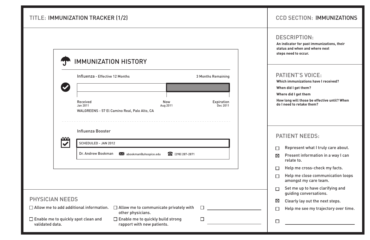#### DESCRIPTION:

- Present information in a way I can  $\boxtimes$ relate to.
- Help me cross-check my facts.  $\Box$
- Help me close communication loops  $\Box$ amongst my care team.
- Set me up to have clarifying and  $\Box$ guiding conversations.
- Clearly lay out the next steps.  $\boxtimes$

 $\Box$ 

| Represent what I truly care about. |  |  |  |
|------------------------------------|--|--|--|
|------------------------------------|--|--|--|

Help me see my trajectory over time.  $\Box$ 

# PATIENT NEEDS:

|                                                               | Influenza - Effective 12 Months                  |                                                                        |                                               | <b>3 Months Remaining</b> |
|---------------------------------------------------------------|--------------------------------------------------|------------------------------------------------------------------------|-----------------------------------------------|---------------------------|
|                                                               | Received<br>Jan 2011                             | WALGREENS - 57 El Camino Real, Palo Alto, CA                           | <b>Now</b><br>Aug 2011                        | Expiration<br>Dec 2011    |
| nnn                                                           | Influenza Booster<br><b>SCHEDULED - JAN 2012</b> |                                                                        |                                               |                           |
|                                                               | Dr. Andrew Bookman                               | abookman@uhospice.edu<br>$\bowtie$                                     | 8 (298) 287-2871                              |                           |
|                                                               |                                                  |                                                                        |                                               |                           |
| <b>PHYSICIAN NEEDS</b>                                        |                                                  |                                                                        |                                               |                           |
|                                                               | $\Box$ Allow me to add additional information.   | other physicians.                                                      | $\Box$ Allow me to communicate privately with | $\Box$                    |
| $\Box$ Enable me to quickly spot clean and<br>validated data. |                                                  | $\Box$ Enable me to quickly build strong<br>rapport with new patients. |                                               | $\mathsf{L}$              |

# **CCD SECTION: IMMUNIZATIONS**

## TITLE: IMMUNIZATION TRACKER (1/2) IMMUNIZATIONS

**An indicator for past immunizations, their status and when and where next steps need to occur.**

**Which immunizations have I received?**

**When did I get them?**

**Where did I get them**

**How long will those be effective until? When do I need to retake them?**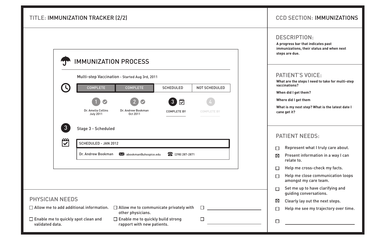- Represent what I truly care about.  $\Box$
- $\boxtimes$ Present information in a way I can relate to.
- Help me cross-check my facts.  $\Box$
- Help me close communication loops  $\Box$ amongst my care team.
- Set me up to have clarifying and  $\Box$ guiding conversations.
- Clearly lay out the next steps.  $\boxtimes$

 $\Box$ 

#### DESCRIPTION:

Help me see my trajectory over time.  $\Box$ 

## PATIENT NEEDS:

|                        | <b>COMPLETE</b>                                | Multi-step Vaccination - Started Aug 3rd, 2011<br><b>COMPLETE</b>  | <b>SCHEDULED</b>               | <b>NOT SCHEDULED</b> |
|------------------------|------------------------------------------------|--------------------------------------------------------------------|--------------------------------|----------------------|
|                        |                                                |                                                                    |                                |                      |
|                        |                                                |                                                                    | $\mathbb{Z}$<br>3 <sup>°</sup> |                      |
|                        | Dr. Amelia Collins<br><b>July 2011</b>         | Dr. Andrew Bookman<br>Oct 2011                                     | <b>COMPLETE BY</b>             | <b>COMPLETE BY</b>   |
| $\mathbf{\mathbb{C}}$  | <b>SCHEDULED - JAN 2012</b>                    |                                                                    |                                |                      |
|                        | Dr. Andrew Bookman                             | abookman@uhospice.edu                                              | 287-2871                       |                      |
|                        |                                                |                                                                    |                                |                      |
|                        |                                                |                                                                    |                                |                      |
|                        |                                                |                                                                    |                                |                      |
|                        |                                                |                                                                    |                                |                      |
|                        |                                                |                                                                    |                                |                      |
| <b>PHYSICIAN NEEDS</b> | $\Box$ Allow me to add additional information. | $\Box$ Allow me to communicate privately with<br>other physicians. |                                |                      |

# **CCD SECTION: IMMUNIZATIONS**

# TITLE: IMMUNIZATION TRACKER (2/2) IMMUNIZATIONS

 $\Box$ 

 $\Box$ 

**A progress bar that indicates past immunizations, their status and when next steps are due.**

**What are the steps I need to take for multi-step vaccinations?**

**When did I get them?**

**Where did I get them**

**What is my next step? What is the latest date I cane get it?**